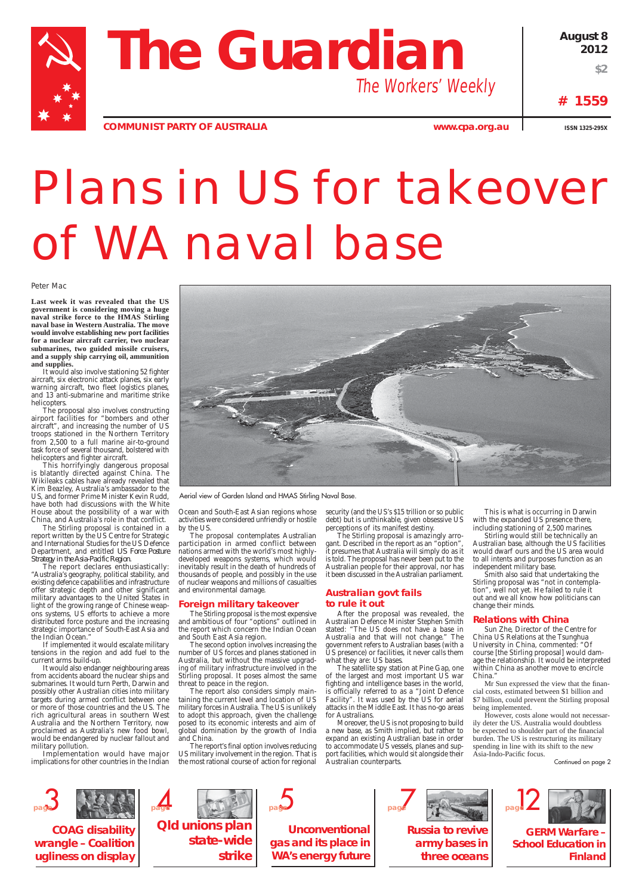



**COMMUNIST PARTY OF AUSTRALIA WWW.cpa.org.au ISSN 1325-295X** 

# Plans in US for takeover of WA naval base

Peter Mac

**Last week it was revealed that the US government is considering moving a huge naval strike force to the HMAS Stirling naval base in Western Australia. The move would involve establishing new port facilities for a nuclear aircraft carrier, two nuclear submarines, two guided missile cruisers, and a supply ship carrying oil, ammunition and supplies.**

It would also involve stationing 52 fighter aircraft, six electronic attack planes, six early warning aircraft, two fleet logistics planes, and 13 anti-submarine and maritime strike helicopters.

The proposal also involves constructing airport facilities for "bombers and other aircraft", and increasing the number of US troops stationed in the Northern Territory from 2,500 to a full marine air-to-ground task force of several thousand, bolstered with helicopters and fighter aircraft.

This horrifyingly dangerous proposal is blatantly directed against China. The Wikileaks cables have already revealed that Kim Beazley, Australia's ambassador to the US, and former Prime Minister Kevin Rudd, have both had discussions with the White House about the possibility of a war with China, and Australia's role in that conflict.

The Stirling proposal is contained in a report written by the US Centre for Strategic and International Studies for the US Defence Department, and entitled *US Force Posture Strategy in the Asia-Pacific Region*.

The report declares enthusiastically: "Australia's geography, political stability, and existing defence capabilities and infrastructure offer strategic depth and other significant military advantages to the United States in light of the growing range of Chinese weapons systems, US efforts to achieve a more distributed force posture and the increasing strategic importance of South-East Asia and the Indian Ocean."

If implemented it would escalate military tensions in the region and add fuel to the current arms build-up.

It would also endanger neighbouring areas from accidents aboard the nuclear ships and submarines. It would turn Perth, Darwin and possibly other Australian cities into military targets during armed conflict between one or more of those countries and the US. The rich agricultural areas in southern West Australia and the Northern Territory, now proclaimed as Australia's new food bowl, would be endangered by nuclear fallout and military pollution.



The satellite spy station at Pine Gap, one of the largest and most important US war fighting and intelligence bases in the world, is officially referred to as a "Joint Defence Facility". It was used by the US for aerial attacks in the Middle East. It has no-go areas for Australians. Moreover, the US is not proposing to build a new base, as Smith implied, but rather to expand an existing Australian base in order to accommodate US vessels, planes and support facilities, which would sit alongside their Australian counterparts.

Implementation would have major implications for other countries in the Indian Ocean and South-East Asian regions whose activities were considered unfriendly or hostile by the US.

> Sun Zhe, Director of the Centre for China US Relations at the Tsunghua University in China, commented: "Of course [the Stirling proposal] would damage the relationship. It would be interpreted within China as another move to encircle China.

The proposal contemplates Australian participation in armed conflict between nations armed with the world's most highlydeveloped weapons systems, which would inevitably result in the death of hundreds of thousands of people, and possibly in the use of nuclear weapons and millions of casualties and environmental damage.

> Mr Sun expressed the view that the financial costs, estimated between \$1 billion and \$7 billion, could prevent the Stirling proposal being implemented.

However, costs alone would not necessarily deter the US. Australia would doubtless be expected to shoulder part of the financial burden. The US is restructuring its military spending in line with its shift to the new Asia-Indo-Pacific focus.

## **Foreign military takeover**



The Stirling proposal is the most expensive and ambitious of four "options" outlined in the report which concern the Indian Ocean and South East Asia region.

The second option involves increasing the number of US forces and planes stationed in Australia, but without the massive upgrading of military infrastructure involved in the Stirling proposal. It poses almost the same threat to peace in the region.

The report also considers simply mainhing the current level and location of US military forces in Australia. The US is unlikely to adopt this approach, given the challenge posed to its economic interests and aim of global domination by the growth of India and China.

The report's final option involves reducing US military involvement in the region. That is the most rational course of action for regional

security (and the US's \$15 trillion or so public debt) but is unthinkable, given obsessive US perceptions of its manifest destiny.

The Stirling proposal is amazingly arrogant. Described in the report as an "option", it presumes that Australia will simply do as it is told. The proposal has never been put to the Australian people for their approval, nor has it been discussed in the Australian parliament.

## **Australian govt fails to rule it out**

After the proposal was revealed, the Australian Defence Minister Stephen Smith stated: "The US does not have a base in Australia and that will not change." The government refers to Australian bases (with a US presence) or facilities, it never calls them what they are: US bases.

This is what is occurring in Darwin with the expanded US presence there, including stationing of 2,500 marines.

Stirling would still be technically an Australian base, although the US facilities would dwarf ours and the US area would to all intents and purposes function as an independent military base.

Smith also said that undertaking the Stirling proposal was "not in contemplation", well not yet. He failed to rule it out and we all know how politicians can change their minds.

# **Relations with China**

Continued on page 2

Aerial view of Garden Island and HMAS Stirling Naval Base.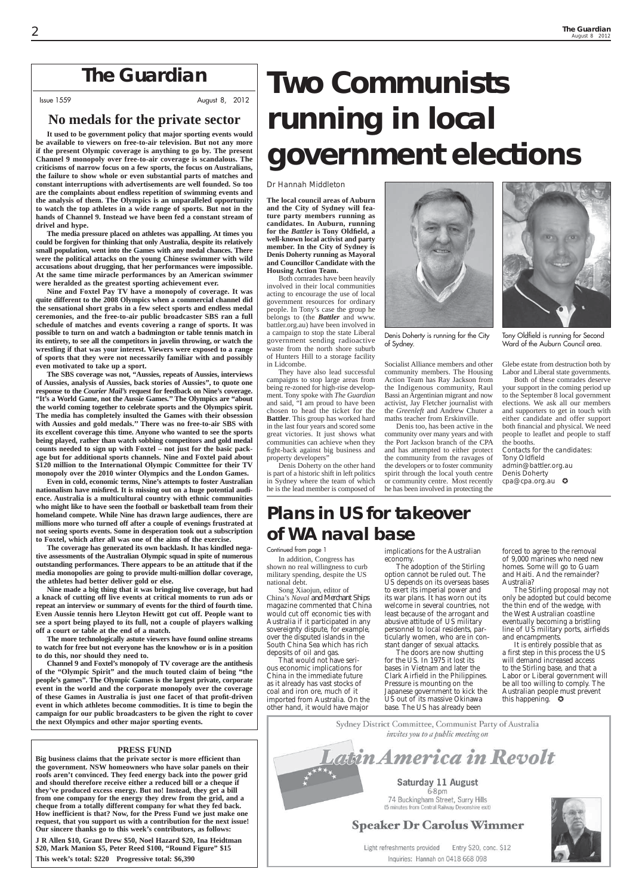# *The Guardian*

Issue 1559 August 8, 2012

## **PRESS FUND**

**Big business claims that the private sector is more efficient than the government. NSW homeowners who have solar panels on their roofs aren't convinced. They feed energy back into the power grid and should therefore receive either a reduced bill or a cheque if they've produced excess energy. But no! Instead, they get a bill from one company for the energy they drew from the grid, and a cheque from a totally different company for what they fed back. How inefficient is that? Now, for the Press Fund we just make one request, that you support us with a contribution for the next issue! Our sincere thanks go to this week's contributors, as follows:**

**J R Allen \$10, Grant Drew \$50, Noel Hazard \$20, Ina Heidtman \$20, Mark Manion \$5, Peter Reed \$100, "Round Figure" \$15 This week's total: \$220 Progressive total: \$6,390**

# **No medals for the private sector**

**It used to be government policy that major sporting events would be available to viewers on free-to-air television. But not any more if the present Olympic coverage is anything to go by. The present Channel 9 monopoly over free-to-air coverage is scandalous. The criticisms of narrow focus on a few sports, the focus on Australians, the failure to show whole or even substantial parts of matches and constant interruptions with advertisements are well founded. So too are the complaints about endless repetition of swimming events and the analysis of them. The Olympics is an unparalleled opportunity to watch the top athletes in a wide range of sports. But not in the hands of Channel 9. Instead we have been fed a constant stream of drivel and hype.**

**The media pressure placed on athletes was appalling. At times you could be forgiven for thinking that only Australia, despite its relatively small population, went into the Games with any medal chances. There were the political attacks on the young Chinese swimmer with wild accusations about drugging, that her performances were impossible. At the same time miracle performances by an American swimmer were heralded as the greatest sporting achievement ever.**

**Nine and Foxtel Pay TV have a monopoly of coverage. It was quite different to the 2008 Olympics when a commercial channel did the sensational short grabs in a few select sports and endless medal ceremonies, and the free-to-air public broadcaster SBS ran a full schedule of matches and events covering a range of sports. It was possible to turn on and watch a badmington or table tennis match in its entirety, to see all the competitors in javelin throwing, or watch the wrestling if that was your interest. Viewers were exposed to a range of sports that they were not necessarily familiar with and possibly even motivated to take up a sport.**

**The SBS coverage was not, "Aussies, repeats of Aussies, interviews of Aussies, analysis of Aussies, back stories of Aussies", to quote one response to the** *Courier Mail's* **request for feedback on Nine's coverage. "It's a World Game, not the Aussie Games.'' The Olympics are "about the world coming together to celebrate sports and the Olympics spirit. The media has completely insulted the Games with their obsession with Aussies and gold medals.'' There was no free-to-air SBS with its excellent coverage this time. Anyone who wanted to see the sports being played, rather than watch sobbing competitors and gold medal counts needed to sign up with Foxtel – not just for the basic package but for additional sports channels. Nine and Foxtel paid about \$120 million to the International Olympic Committee for their TV monopoly over the 2010 winter Olympics and the London Games.**

**Even in cold, economic terms, Nine's attempts to foster Australian nationalism have misfi red. It is missing out on a huge potential audience. Australia is a multicultural country with ethnic communities who might like to have seen the football or basketball team from their homeland compete. While Nine has drawn large audiences, there are millions more who turned off after a couple of evenings frustrated at not seeing sports events. Some in desperation took out a subscription to Foxtel, which after all was one of the aims of the exercise.**

Contacts for the candidates: Tony Oldfield admin@battler.org.au Denis Doherty cpa@cpa.org.au **C** 

**The coverage has generated its own backlash. It has kindled negative assessments of the Australian Olympic squad in spite of numerous outstanding performances. There appears to be an attitude that if the media monopolies are going to provide multi-million dollar coverage, the athletes had better deliver gold or else.**

**Nine made a big thing that it was bringing live coverage, but had a knack of cutting off live events at critical moments to run ads or repeat an interview or summary of events for the third of fourth time. Even Aussie tennis hero Lleyton Hewitt got cut off. People want to see a sport being played to its full, not a couple of players walking off a court or table at the end of a match.**

> It is entirely possible that as a first step in this process the US will demand increased access to the Stirling base, and that a Labor or Liberal government will be all too willing to comply. The Australian people must prevent this happening.  $\bullet$

**The more technologically astute viewers have found online streams to watch for free but not everyone has the knowhow or is in a position to do this, nor should they need to.**

**Channel 9 and Foxtel's monopoly of TV coverage are the antithesis of the "Olympic Spirit" and the much touted claim of being "the people's games". The Olympic Games is the largest private, corporate event in the world and the corporate monopoly over the coverage of these Games in Australia is just one facet of that profi t-driven event in which athletes become commodities. It is time to begin the campaign for our public broadcasters to be given the right to cover the next Olympics and other major sporting events.**

# **Two Communists running in local government elections**

### Dr Hannah Middleton

**The local council areas of Auburn and the City of Sydney will feature party members running as candidates. In Auburn, running for the** *Battler* **is Tony Oldfi eld, a well-known local activist and party member. In the City of Sydney is Denis Doherty running as Mayoral and Councillor Candidate with the Housing Action Team.**

Both comrades have been heavily involved in their local communities acting to encourage the use of local government resources for ordinary people. In Tony's case the group he belongs to (the *Battler* and www. battler.org.au) have been involved in a campaign to stop the state Liberal government sending radioactive waste from the north shore suburb of Hunters Hill to a storage facility in Lidcombe.

They have also lead successful campaigns to stop large areas from being re-zoned for high-rise development. Tony spoke with *The Guardian* and said, "I am proud to have been chosen to head the ticket for the **Battler**. This group has worked hard in the last four years and scored some great victories. It just shows what communities can achieve when they fight-back against big business and property developers"

Denis Doherty on the other hand is part of a historic shift in left politics in Sydney where the team of which he is the lead member is composed of

Socialist Alliance members and other community members. The Housing Action Team has Ray Jackson from the Indigenous community, Raul Bassi an Argentinian migrant and now activist, Jay Fletcher journalist with the *Greenleft* and Andrew Chuter a maths teacher from Erskinville.

Denis too, has been active in the community over many years and with the Port Jackson branch of the CPA and has attempted to either protect the community from the ravages of the developers or to foster community spirit through the local youth centre or community centre. Most recently he has been involved in protecting the

Glebe estate from destruction both by Labor and Liberal state governments.

Both of these comrades deserve your support in the coming period up to the September 8 local government elections. We ask all our members and supporters to get in touch with either candidate and offer support both financial and physical. We need people to leaflet and people to staff the booths.

# **Plans in US for takeover of WA naval base**



Denis Doherty is running for the City of Sydney.



Continued from page 1

In addition, Congress has shown no real willingness to curb military spending, despite the US national debt.

Song Xiaojun, editor of China's *Naval and Merchant Ships* magazine commented that China would cut off economic ties with Australia if it participated in any sovereignty dispute, for example, over the disputed islands in the South China Sea which has rich deposits of oil and gas.

That would not have serious economic implications for China in the immediate future as it already has vast stocks of coal and iron ore, much of it imported from Australia. On the implications for the Australian economy.

The adoption of the Stirling option cannot be ruled out. The US depends on its overseas bases to exert its imperial power and its war plans. It has worn out its welcome in several countries, not least because of the arrogant and abusive attitude of US military personnel to local residents, particularly women, who are in constant danger of sexual attacks.

other hand, it would have major base. The US has already been

> Sydney District Committee, Communist Party of Australia invites you to a public meeting on

# atin America in Revolt

Saturday 11 August  $6-8$  pm 74 Buckingham Street, Surry Hills (5 minutes from Central Railway Devonshire exit)

# **Speaker Dr Carolus Wimmer**

Light refreshments provided Entry \$20, conc. \$12 Inquiries: Hannah on 0418 668 098



The doors are now shutting for the US. In 1975 it lost its bases in Vietnam and later the Clark Airfield in the Philippines. Pressure is mounting on the Japanese government to kick the US out of its massive Okinawa

forced to agree to the removal of 9,000 marines who need new homes. Some will go to Guam and Haiti. And the remainder? Australia?

The Stirling proposal may not only be adopted but could become the thin end of the wedge, with the West Australian coastline eventually becoming a bristling line of US military ports, airfields and encampments.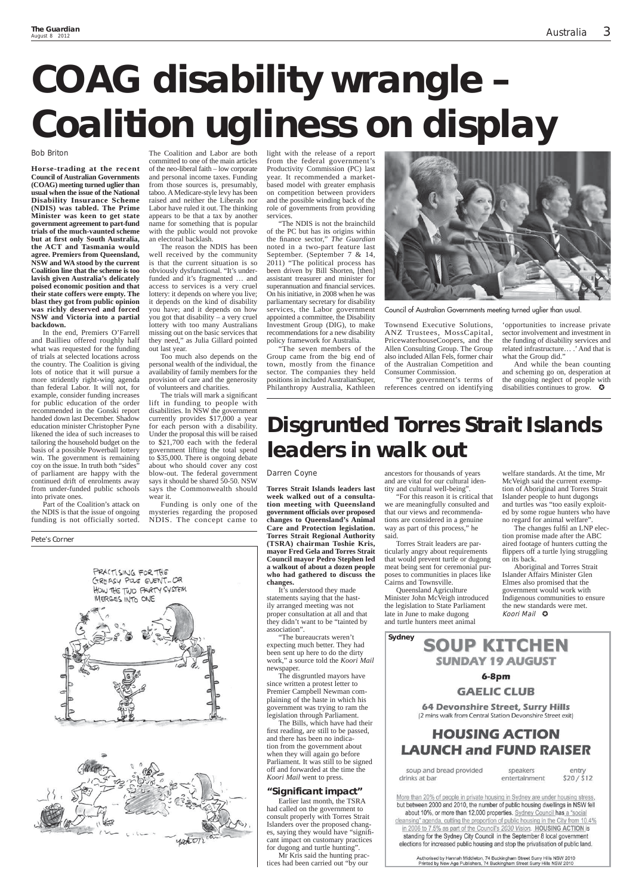### Bob Briton

**Horse-trading at the recent Council of Australian Governments (COAG) meeting turned uglier than usual when the issue of the National Disability Insurance Scheme (NDIS) was tabled. The Prime Minister was keen to get state government agreement to part-fund trials of the much-vaunted scheme but at fi rst only South Australia, the ACT and Tasmania would agree. Premiers from Queensland, NSW and WA stood by the current Coalition line that the scheme is too lavish given Australia's delicately poised economic position and that their state coffers were empty. The blast they got from public opinion was richly deserved and forced NSW and Victoria into a partial backdown.**

In the end, Premiers O'Farrell and Baillieu offered roughly half what was requested for the funding of trials at selected locations across the country. The Coalition is giving lots of notice that it will pursue a more stridently right-wing agenda than federal Labor. It will not, for example, consider funding increases for public education of the order recommended in the Gonski report handed down last December. Shadow education minister Christopher Pyne likened the idea of such increases to tailoring the household budget on the basis of a possible Powerball lottery win. The government is remaining coy on the issue. In truth both "sides" of parliament are happy with the continued drift of enrolments away from under-funded public schools into private ones.

Part of the Coalition's attack on the NDIS is that the issue of ongoing funding is not officially sorted.

The trials will mark a significant lift in funding to people with disabilities. In NSW the government currently provides \$17,000 a year for each person with a disability. Under the proposal this will be raised to \$21,700 each with the federal government lifting the total spend to \$35,000. There is ongoing debate about who should cover any cost blow-out. The federal government says it should be shared 50-50. NSW says the Commonwealth should wear it.

committed to one of the main articles of the neo-liberal faith – low corporate and personal income taxes. Funding from those sources is, presumably, taboo. A Medicare-style levy has been raised and neither the Liberals nor Labor have ruled it out. The thinking appears to be that a tax by another name for something that is popular with the public would not provoke an electoral backlash.

The reason the NDIS has been well received by the community is that the current situation is so obviously dysfunctional. "It's underfunded and it's fragmented … and access to services is a very cruel lottery: it depends on where you live; it depends on the kind of disability you have; and it depends on how you got that disability – a very cruel lottery with too many Australians missing out on the basic services that they need," as Julia Gillard pointed out last year.

> And while the bean counting and scheming go on, desperation at the ongoing neglect of people with disabilities continues to grow.  $\bullet$

The Coalition and Labor are both light with the release of a report from the federal government's Productivity Commission (PC) last year. It recommended a marketbased model with greater emphasis on competition between providers and the possible winding back of the role of governments from providing services.

Too much also depends on the personal wealth of the individual, the availability of family members for the provision of care and the generosity of volunteers and charities.

Funding is only one of the mysteries regarding the proposed NDIS. The concept came to

> The changes fulfil an LNP election promise made after the ABC aired footage of hunters cutting the flippers off a turtle lying struggling on its back.

Aboriginal and Torres Strait Islander Affairs Minister Glen Elmes also promised that the government would work with Indigenous communities to ensure the new standards were met. Koori Mail  $\odot$ 

"The NDIS is not the brainchild of the PC but has its origins within the finance sector," The Guardian noted in a two-part feature last September. (September 7 & 14, 2011) "The political process has been driven by Bill Shorten, [then] assistant treasurer and minister for superannuation and financial services. On his initiative, in 2008 when he was parliamentary secretary for disability services, the Labor government appointed a committee, the Disability Investment Group (DIG), to make recommendations for a new disability policy framework for Australia.

"The seven members of the Group came from the big end of town, mostly from the finance sector. The companies they held positions in included AustralianSuper, Philanthropy Australia, Kathleen



Townsend Executive Solutions, ANZ Trustees, MossCapital, PricewaterhouseCoopers, and the Allen Consulting Group. The Group also included Allan Fels, former chair of the Australian Competition and Consumer Commission.

"The government's terms of references centred on identifying

'opportunities to increase private sector involvement and investment in the funding of disability services and related infrastructure… .' And that is what the Group did."

Pete's Corner

# **COAG disability wrangle – Coalition ugliness on display**

# **Disgruntled Torres Strait Islands leaders in walk out**

## Darren Coyne

**Torres Strait Islands leaders last week walked out of a consultation meeting with Queensland government offi cials over proposed changes to Queensland's Animal Care and Protection legislation. Torres Strait Regional Authority (TSRA) chairman Toshie Kris, mayor Fred Gela and Torres Strait Council mayor Pedro Stephen led a walkout of about a dozen people who had gathered to discuss the changes.**

It's understood they made statements saying that the hastily arranged meeting was not proper consultation at all and that

The disgruntled mayors have since written a protest letter to Premier Campbell Newman complaining of the haste in which his government was trying to ram the legislation through Parliament. The Bills, which have had their first reading, are still to be passed, and there has been no indication from the government about when they will again go before Parliament. It was still to be signed off and forwarded at the time the *Koori Mail* went to press. **"Significant impact"** Earlier last month, the TSRA had called on the government to consult properly with Torres Strait Islanders over the proposed changes, saying they would have "significant impact on customary practices for dugong and turtle hunting". Mr Kris said the hunting practices had been carried out "by our

ancestors for thousands of years and are vital for our cultural identity and cultural well-being".







PRACTISING FOR THE GREASY POLE EVENT-OR HOW THE TWO PARTY SYSTEM

**MERGES INTO ONE** 

**64 Devonshire Street, Surry Hills** (2 mins walk from Central Station Devonshire Street exit)

# **HOUSING ACTION LAUNCH and FUND RAISER**

soup and bread provided speakers drinks at bar entertainment

entry  $$20/ $12$ 

More than 20% of people in private housing in Sydney are under housing stress, but between 2000 and 2010, the number of public housing dwellings in NSW fell about 10%, or more than 12,000 properties. Sydney Council has a "social cleansing" agenda, cutting the proportion of public housing in the City from 10.4% in 2006 to 7.5% as part of the Council's 2030 Vision. HOUSING ACTION is standing for the Sydney City Council in the September 8 local government elections for increased public housing and stop the privatisation of public land.

Authorised by Hannah Middleton, 74 Buckingham Street Surry Hills NSW 2010<br>Printed by New Age Publishers, 74 Buckingham Street Surry Hills NSW 2010

"For this reason it is critical that we are meaningfully consulted and that our views and recommendations are considered in a genuine way as part of this process," he said.

Torres Strait leaders are particularly angry about requirements that would prevent turtle or dugong meat being sent for ceremonial purposes to communities in places like Cairns and Townsville.

Queensland Agriculture Minister John McVeigh introduced the legislation to State Parliament late in June to make dugong and turtle hunters meet animal

welfare standards. At the time, Mr McVeigh said the current exemption of Aboriginal and Torres Strait Islander people to hunt dugongs and turtles was "too easily exploited by some rogue hunters who have no regard for animal welfare".

Council of Australian Governments meeting turned uglier than usual.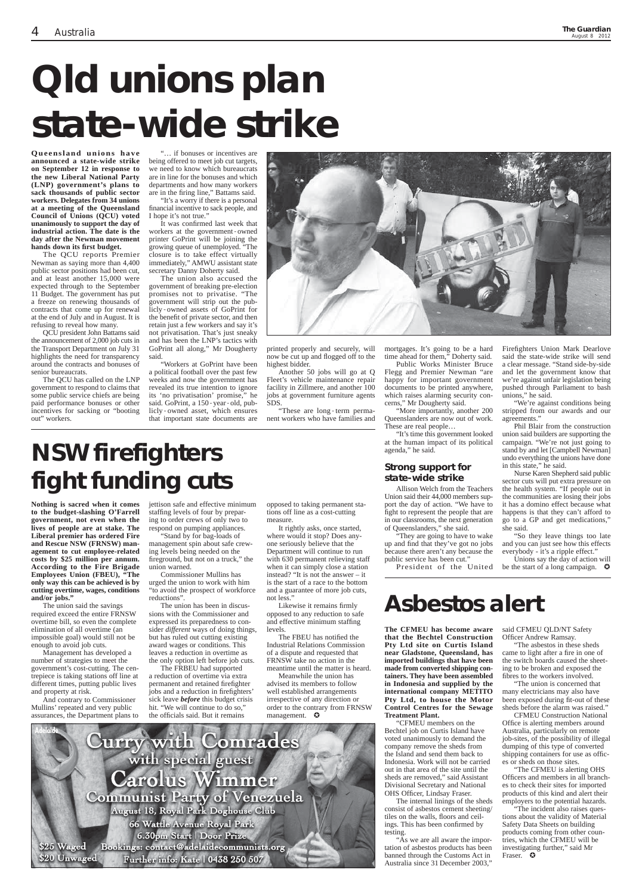**Queensland unions have announced a state-wide strike on September 12 in response to the new Liberal National Party (LNP) government's plans to sack thousands of public sector workers. Delegates from 34 unions at a meeting of the Queensland Council of Unions (QCU) voted unanimously to support the day of industrial action. The date is the day after the Newman movement hands down its fi rst budget.**

The QCU reports Premier Newman as saying more than 4,400 public sector positions had been cut, and at least another 15,000 were expected through to the September 11 Budget. The government has put a freeze on renewing thousands of contracts that come up for renewal at the end of July and in August. It is refusing to reveal how many.

It was confirmed last week that workers at the government‐owned printer GoPrint will be joining the growing queue of unemployed. "The closure is to take effect virtually immediately," AMWU assistant state secretary Danny Doherty said.

QCU president John Battams said the announcement of 2,000 job cuts in the Transport Department on July 31 highlights the need for transparency around the contracts and bonuses of senior bureaucrats.

The QCU has called on the LNP government to respond to claims that some public service chiefs are being paid performance bonuses or other incentives for sacking or "booting out" workers.

... if bonuses or incentives are being offered to meet job cut targets, we need to know which bureaucrats are in line for the bonuses and which departments and how many workers are in the firing line," Battams said.

> now be cut up and flogged off to the highest bidder.

> "These are long-term permanent workers who have families and

"It's a worry if there is a personal financial incentive to sack people, and I hope it's not true."

> They are going to have to wake up and find that they've got no jobs because there aren't any because the public service has been cut."

Firefighters Union Mark Dearlove said the state-wide strike will send a clear message. "Stand side-by-side and let the government know that we're against unfair legislation being pushed through Parliament to bash unions," he said.

The union also accused the government of breaking pre-election promises not to privatise. "The government will strip out the publicly‐owned assets of GoPrint for the benefit of private sector, and then retain just a few workers and say it's not privatisation. That's just sneaky and has been the LNP's tactics with GoPrint all along," Mr Dougherty said.

> "We're against conditions being stripped from our awards and our agreements."

Unions say the day of action will be the start of a long campaign.  $\bullet$ 

"Workers at GoPrint have been a political football over the past few weeks and now the government has revealed its true intention to ignore its 'no privatisation' promise," he said. GoPrint, a 150‐year‐old, publicly‐owned asset, which ensures that important state documents are



Another 50 jobs will go at Q Fleet's vehicle maintenance repair facility in Zillmere, and another 100 jobs at government furniture agents SDS.

mortgages. It's going to be a hard time ahead for them," Doherty said.

Public Works Minister Bruce Flegg and Premier Newman "are happy for important government documents to be printed anywhere, which raises alarming security concerns," Mr Dougherty said.

"More importantly, another 200 Queenslanders are now out of work. These are real people…

The FRBEU had supported a reduction of overtime via extra permanent and retained firefighter jobs and a reduction in firefighters' sick leave *before* this budget crisis hit. "We will continue to do so," the officials said. But it remains

"It's time this government looked at the human impact of its political agenda," he said.

## **Strong support for state-wide strike**

Allison Welch from the Teachers Union said their 44,000 members support the day of action. "We have to fight to represent the people that are in our classrooms, the next generation of Queenslanders," she said.

Likewise it remains firmly opposed to any reduction to safe and effective minimum staffing levels.

President of the United

The FBEU has notified the Industrial Relations Commission of a dispute and requested that FRNSW take no action in the meantime until the matter is heard.

Meanwhile the union has advised its members to follow well established arrangements irrespective of any direction or order to the contrary from FRNSW management.  $\bullet$ 

Phil Blair from the construction union said builders are supporting the campaign. "We're not just going to stand by and let [Campbell Newman] undo everything the unions have done in this state," he said.

said CFMEU QLD/NT Safety Officer Andrew Ramsay.

"The asbestos in these sheds came to light after a fire in one of the switch boards caused the sheeting to be broken and exposed the fibres to the workers involved.

Nurse Karen Shepherd said public sector cuts will put extra pressure on the health system. "If people out in the communities are losing their jobs it has a domino effect because what happens is that they can't afford to go to a GP and get medications," she said.

"The union is concerned that many electricians may also have been exposed during fit-out of these

"So they leave things too late and you can just see how this effects everybody - it's a ripple effect."

"The incident also raises questions about the validity of Material Safety Data Sheets on building products coming from other countries, which the CFMEU will be investigating further," said Mr Fraser. **O** 

# **Qld unions plan state-wide strike**

# **NSW firefighters fight funding cuts**

# **Asbestos alert**

**Nothing is sacred when it comes to the budget-slashing O'Farrell government, not even when the lives of people are at stake. The Liberal premier has ordered Fire and Rescue NSW (FRNSW) management to cut employee-related costs by \$25 million per annum. According to the Fire Brigade Employees Union (FBEU), "The only way this can be achieved is by cutting overtime, wages, conditions and/or jobs."**

The union said the savings required exceed the entire FRNSW overtime bill, so even the complete elimination of all overtime (an impossible goal) would still not be enough to avoid job cuts.

Management has developed a number of strategies to meet the government's cost-cutting. The centrepiece is taking stations off line at different times, putting public lives and property at risk.

And contrary to Commissioner

Mullins' repeated and very public assurances, the Department plans to jettison safe and effective minimum staffing levels of four by preparing to order crews of only two to

respond on pumping appliances. "Stand by for bag-loads of management spin about safe crewing levels being needed on the fireground, but not on a truck," the union warned.

Commissioner Mullins has urged the union to work with him "to avoid the prospect of workforce reductions".

The union has been in discussions with the Commissioner and expressed its preparedness to consider *different* ways of doing things, but has ruled out cutting existing award wages or conditions. This leaves a reduction in overtime as the only option left before job cuts.

opposed to taking permanent stations off line as a cost-cutting measure.

It rightly asks, once started, where would it stop? Does anyone seriously believe that the Department will continue to run with 630 permanent relieving staff when it can simply close a station instead? "It is not the answer – it is the start of a race to the bottom and a guarantee of more job cuts, not less."

> **The CFMEU has become aware that the Bechtel Construction Pty Ltd site on Curtis Island near Gladstone, Queensland, has imported buildings that have been made from converted shipping containers. They have been assembled in Indonesia and supplied by the international company METITO Pty Ltd, to house the Motor Control Centres for the Sewage Treatment Plant.** "CFMEU members on the Bechtel job on Curtis Island have voted unanimously to demand the company remove the sheds from the Island and send them back to Indonesia. Work will not be carried out in that area of the site until the sheds are removed," said Assistant Divisional Secretary and National OHS Officer, Lindsay Fraser. The internal linings of the sheds consist of asbestos cement sheeting/ tiles on the walls, floors and ceilings. This has been confirmed by testing. "As we are all aware the importation of asbestos products has been banned through the Customs Act in Australia since 31 December 2003,"

sheds before the alarm was raised."

CFMEU Construction National Office is alerting members around Australia, particularly on remote job-sites, of the possibility of illegal dumping of this type of converted shipping containers for use as offices or sheds on those sites.

"The CFMEU is alerting OHS Officers and members in all branches to check their sites for imported products of this kind and alert their employers to the potential hazards.

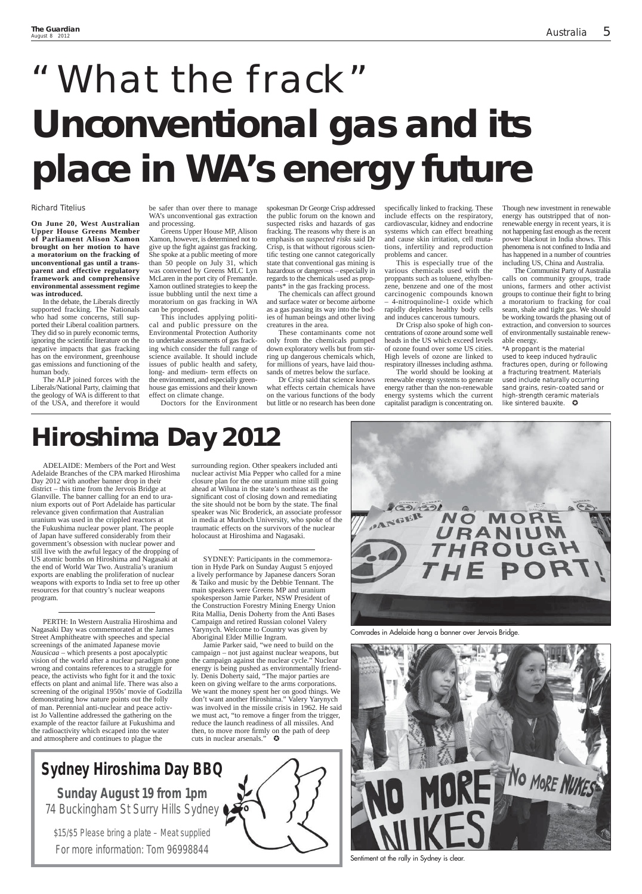Richard Titelius

**On June 20, West Australian Upper House Greens Member of Parliament Alison Xamon brought on her motion to have a moratorium on the fracking of unconventional gas until a transparent and effective regulatory framework and comprehensive environmental assessment regime was introduced.**

In the debate, the Liberals directly supported fracking. The Nationals who had some concerns, still supported their Liberal coalition partners. They did so in purely economic terms, ignoring the scientific literature on the negative impacts that gas fracking has on the environment, greenhouse gas emissions and functioning of the human body.

The ALP joined forces with the Liberals/National Party, claiming that the geology of WA is different to that of the USA, and therefore it would

be safer than over there to manage WA's unconventional gas extraction and processing.

Greens Upper House MP, Alison Xamon, however, is determined not to give up the fight against gas fracking. She spoke at a public meeting of more than 50 people on July 31, which was convened by Greens MLC Lyn McLaren in the port city of Fremantle. Xamon outlined strategies to keep the issue bubbling until the next time a moratorium on gas fracking in WA can be proposed.

specifically linked to fracking. These include effects on the respiratory, cardiovascular, kidney and endocrine systems which can effect breathing and cause skin irritation, cell mutations, infertility and reproduction problems and cancer.

This includes applying political and public pressure on the Environmental Protection Authority to undertake assessments of gas fracking which consider the full range of science available. It should include issues of public health and safety, long- and medium- term effects on the environment, and especially greenhouse gas emissions and their known effect on climate change.

Doctors for the Environment

spokesman Dr George Crisp addressed the public forum on the known and suspected risks and hazards of gas fracking. The reasons why there is an emphasis on *suspected risks* said Dr Crisp, is that without rigorous scientific testing one cannot categorically state that conventional gas mining is hazardous or dangerous – especially in regards to the chemicals used as proppants\* in the gas fracking process.

> \*A proppant is the material used to keep induced hydraulic fractures open, during or following a fracturing treatment. Materials used include naturally occurring sand grains, resin-coated sand or high-strength ceramic materials like sintered bauxite.  $\bullet$

The chemicals can affect ground and surface water or become airborne as a gas passing its way into the bodies of human beings and other living creatures in the area.

These contaminants come not only from the chemicals pumped down exploratory wells but from stirring up dangerous chemicals which, for millions of years, have laid thousands of metres below the surface.

Dr Crisp said that science knows what effects certain chemicals have on the various functions of the body but little or no research has been done

This is especially true of the various chemicals used with the proppants such as toluene, ethylbenzene, benzene and one of the most carcinogenic compounds known – 4-nitroquinoline-1 oxide which rapidly depletes healthy body cells and induces cancerous tumours.

Dr Crisp also spoke of high concentrations of ozone around some well heads in the US which exceed levels of ozone found over some US cities. High levels of ozone are linked to respiratory illnesses including asthma.

The world should be looking at renewable energy systems to generate energy rather than the non-renewable energy systems which the current capitalist paradigm is concentrating on.

Jamie Parker said, "we need to build on the campaign – not just against nuclear weapons, but the campaign against the nuclear cycle." Nuclear energy is being pushed as environmentally friendly. Denis Doherty said, "The major parties are keen on giving welfare to the arms corporations. We want the money spent her on good things. We don't want another Hiroshima." Valery Yarynych was involved in the missile crisis in 1962. He said we must act, "to remove a finger from the trigger, reduce the launch readiness of all missiles. And then, to move more firmly on the path of deep cuts in nuclear arsenals."  $\bullet$ 

Though new investment in renewable energy has outstripped that of nonrenewable energy in recent years, it is not happening fast enough as the recent power blackout in India shows. This phenomena is not confined to India and has happened in a number of countries including US, China and Australia.

**Sunday August 19 from 1pm** 74 Buckingham St Surry Hills Sydney

The Communist Party of Australia calls on community groups, trade unions, farmers and other activist groups to continue their fight to bring a moratorium to fracking for coal seam, shale and tight gas. We should be working towards the phasing out of extraction, and conversion to sources of environmentally sustainable renewable energy.

# "What the frack" **Unconventional gas and its place in WA's energy future**

# **Hiroshima Day 2012**

ADELAIDE: Members of the Port and West Adelaide Branches of the CPA marked Hiroshima Day 2012 with another banner drop in their district – this time from the Jervois Bridge at Glanville. The banner calling for an end to uranium exports out of Port Adelaide has particular relevance given confirmation that Australian uranium was used in the crippled reactors at the Fukushima nuclear power plant. The people of Japan have suffered considerably from their government's obsession with nuclear power and still live with the awful legacy of the dropping of US atomic bombs on Hiroshima and Nagasaki at the end of World War Two. Australia's uranium exports are enabling the proliferation of nuclear weapons with exports to India set to free up other resources for that country's nuclear weapons program.

PERTH: In Western Australia Hiroshima and Nagasaki Day was commemorated at the James Street Amphitheatre with speeches and special screenings of the animated Japanese movie *Nausicaa* – which presents a post apocalyptic vision of the world after a nuclear paradigm gone wrong and contains references to a struggle for peace, the activists who fight for it and the toxic effects on plant and animal life. There was also a screening of the original 1950s' movie of Godzilla demonstrating how nature points out the folly of man. Perennial anti-nuclear and peace activist Jo Vallentine addressed the gathering on the example of the reactor failure at Fukushima and the radioactivity which escaped into the water and atmosphere and continues to plague the

surrounding region. Other speakers included anti nuclear activist Mia Pepper who called for a mine closure plan for the one uranium mine still going ahead at Wiluna in the state's northeast as the significant cost of closing down and remediating the site should not be born by the state. The final speaker was Nic Broderick, an associate professor in media at Murdoch University, who spoke of the traumatic effects on the survivors of the nuclear holocaust at Hiroshima and Nagasaki.

SYDNEY: Participants in the commemoration in Hyde Park on Sunday August 5 enjoyed a lively performance by Japanese dancers Soran & Taiko and music by the Debbie Tennant. The main speakers were Greens MP and uranium spokesperson Jamie Parker, NSW President of the Construction Forestry Mining Energy Union Rita Mallia, Denis Doherty from the Anti Bases Campaign and retired Russian colonel Valery Yarynych. Welcome to Country was given by Aboriginal Elder Millie Ingram.

# **Sydney Hiroshima Day BBQ**

\$15/\$5 Please bring a plate – Meat supplied

For more information: Tom 96998844



Comrades in Adelaide hang a banner over Jervois Bridge.



Sentiment at the rally in Sydney is clear.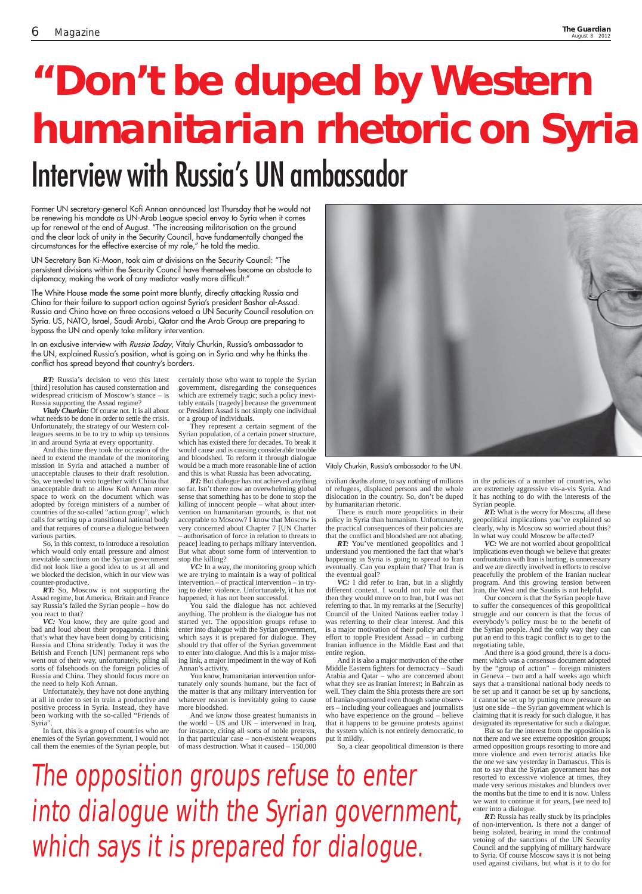*RT:* Russia's decision to veto this latest [third] resolution has caused consternation and widespread criticism of Moscow's stance – is Russia supporting the Assad regime?

*Vitaly Churkin:* Of course not. It is all about what needs to be done in order to settle the crisis. Unfortunately, the strategy of our Western colleagues seems to be to try to whip up tensions in and around Syria at every opportunity.

And this time they took the occasion of the need to extend the mandate of the monitoring mission in Syria and attached a number of unacceptable clauses to their draft resolution. So, we needed to veto together with China that unacceptable draft to allow Kofi Annan more space to work on the document which was adopted by foreign ministers of a number of countries of the so-called "action group", which calls for setting up a transitional national body and that requires of course a dialogue between various parties.

So, in this context, to introduce a resolution which would only entail pressure and almost inevitable sanctions on the Syrian government did not look like a good idea to us at all and we blocked the decision, which in our view was counter-productive.

*RT:* So, Moscow is not supporting the Assad regime, but America, Britain and France say Russia's failed the Syrian people – how do you react to that?

*VC:* You know, they are quite good and bad and loud about their propaganda. I think that's what they have been doing by criticising Russia and China stridently. Today it was the British and French [UN] permanent reps who went out of their way, unfortunately, piling all sorts of falsehoods on the foreign policies of Russia and China. They should focus more on the need to help Kofi Annan.

Unfortunately, they have not done anything all in order to set in train a productive and positive process in Syria. Instead, they have been working with the so-called "Friends of Syria".

In fact, this is a group of countries who are enemies of the Syrian government, I would not call them the enemies of the Syrian people, but

There is much more geopolitics in their policy in Syria than humanism. Unfortunately, the practical consequences of their policies are that the conflict and bloodshed are not abating.

certainly those who want to topple the Syrian government, disregarding the consequences which are extremely tragic; such a policy inevitably entails [tragedy] because the government or President Assad is not simply one individual or a group of individuals.

They represent a certain segment of the Syrian population, of a certain power structure, which has existed there for decades. To break it would cause and is causing considerable trouble and bloodshed. To reform it through dialogue would be a much more reasonable line of action and this is what Russia has been advocating.

*RT:* But dialogue has not achieved anything so far. Isn't there now an overwhelming global sense that something has to be done to stop the killing of innocent people – what about intervention on humanitarian grounds, is that not acceptable to Moscow? I know that Moscow is very concerned about Chapter 7 [UN Charter – authorisation of force in relation to threats to peace] leading to perhaps military intervention. But what about some form of intervention to stop the killing?

*VC:* In a way, the monitoring group which we are trying to maintain is a way of political intervention – of practical intervention – in trying to deter violence. Unfortunately, it has not happened, it has not been successful.

You said the dialogue has not achieved anything. The problem is the dialogue has not started yet. The opposition groups refuse to enter into dialogue with the Syrian government, which says it is prepared for dialogue. They should try that offer of the Syrian government to enter into dialogue. And this is a major missing link, a major impediment in the way of Kofi Annan's activity.

You know, humanitarian intervention unfortunately only sounds humane, but the fact of the matter is that any military intervention for whatever reason is inevitably going to cause more bloodshed.



And we know those greatest humanists in the world – US and UK – intervened in Iraq, for instance, citing all sorts of noble pretexts, in that particular case – non-existent weapons of mass destruction. What it caused – 150,000

civilian deaths alone, to say nothing of millions of refugees, displaced persons and the whole dislocation in the country. So, don't be duped by humanitarian rhetoric.

*RT:* You've mentioned geopolitics and I understand you mentioned the fact that what's happening in Syria is going to spread to Iran eventually. Can you explain that? That Iran is the eventual goal?

*VC:* I did refer to Iran, but in a slightly different context. I would not rule out that then they would move on to Iran, but I was not referring to that. In my remarks at the [Security] Council of the United Nations earlier today I was referring to their clear interest. And this is a major motivation of their policy and their effort to topple President Assad – in curbing Iranian influence in the Middle East and that entire region.

And it is also a major motivation of the other Middle Eastern fighters for democracy - Saudi Arabia and Qatar – who are concerned about what they see as Iranian interest; in Bahrain as well. They claim the Shia protests there are sort of Iranian-sponsored even though some observers – including your colleagues and journalists who have experience on the ground – believe that it happens to be genuine protests against the system which is not entirely democratic, to put it mildly.

So, a clear geopolitical dimension is there

in the policies of a number of countries, who are extremely aggressive vis-a-vis Syria. And it has nothing to do with the interests of the Syrian people.

*RT:* What is the worry for Moscow, all these geopolitical implications you've explained so clearly, why is Moscow so worried about this? In what way could Moscow be affected?

*VC:* We are not worried about geopolitical implications even though we believe that greater confrontation with Iran is hurting, is unnecessary and we are directly involved in efforts to resolve peacefully the problem of the Iranian nuclear program. And this growing tension between Iran, the West and the Saudis is not helpful.

Our concern is that the Syrian people have to suffer the consequences of this geopolitical struggle and our concern is that the focus of everybody's policy must be to the benefit of the Syrian people. And the only way they can put an end to this tragic conflict is to get to the negotiating table.

And there is a good ground, there is a document which was a consensus document adopted by the "group of action" – foreign ministers in Geneva – two and a half weeks ago which says that a transitional national body needs to be set up and it cannot be set up by sanctions, it cannot be set up by putting more pressure on just one side – the Syrian government which is claiming that it is ready for such dialogue, it has designated its representative for such a dialogue. But so far the interest from the opposition is not there and we see extreme opposition groups; armed opposition groups resorting to more and more violence and even terrorist attacks like the one we saw yesterday in Damascus. This is not to say that the Syrian government has not resorted to excessive violence at times, they made very serious mistakes and blunders over the months but the time to end it is now. Unless we want to continue it for years, [we need to] enter into a dialogue. *RT:* Russia has really stuck by its principles of non-intervention. Is there not a danger of being isolated, bearing in mind the continual vetoing of the sanctions of the UN Security Council and the supplying of military hardware to Syria. Of course Moscow says it is not being used against civilians, but what is it to do for

### Vitaly Churkin, Russia's ambassador to the UN.

# **"Don't be duped by Western humanitarian rhetoric on Syria"** Interview with Russia's UN ambassador

**The opposition groups refuse to enter into dialogue with the Syrian government, which says it is prepared for dialogue.**

Former UN secretary-general Kofi Annan announced last Thursday that he would not be renewing his mandate as UN-Arab League special envoy to Syria when it comes up for renewal at the end of August. "The increasing militarisation on the ground and the clear lack of unity in the Security Council, have fundamentally changed the circumstances for the effective exercise of my role," he told the media.

UN Secretary Ban Ki-Moon, took aim at divisions on the Security Council: "The persistent divisions within the Security Council have themselves become an obstacle to diplomacy, making the work of any mediator vastly more difficult."

The White House made the same point more bluntly, directly attacking Russia and China for their failure to support action against Syria's president Bashar al-Assad. Russia and China have on three occasions vetoed a UN Security Council resolution on Syria. US, NATO, Israel, Saudi Arabi, Qatar and the Arab Group are preparing to bypass the UN and openly take military intervention.

In an exclusive interview with Russia Today, Vitaly Churkin, Russia's ambassador to the UN, explained Russia's position, what is going on in Syria and why he thinks the conflict has spread beyond that country's borders.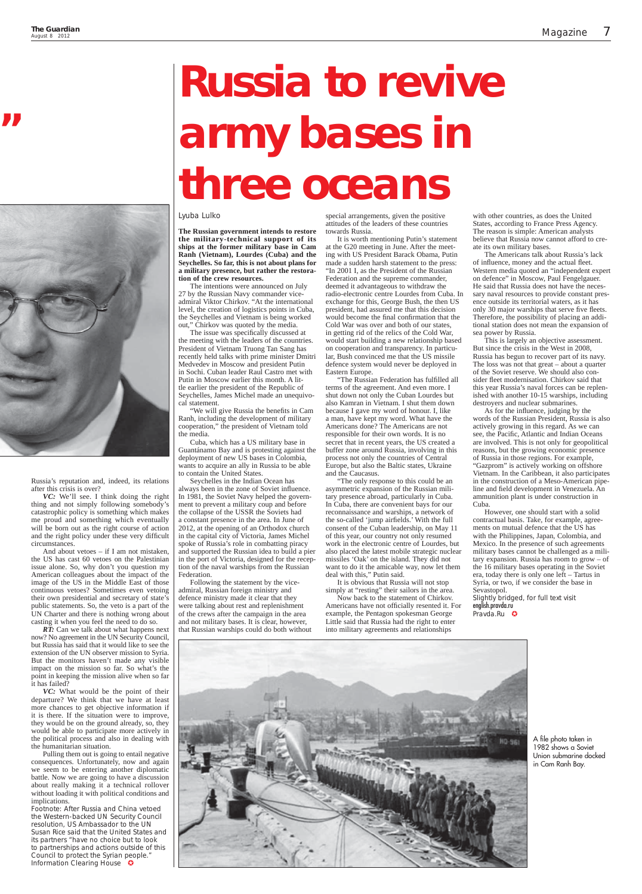Russia's reputation and, indeed, its relations after this crisis is over?

*VC:* We'll see. I think doing the right thing and not simply following somebody's catastrophic policy is something which makes me proud and something which eventually will be born out as the right course of action and the right policy under these very difficult circumstances.

*RT*: Can we talk about what happens next now? No agreement in the UN Security Council, but Russia has said that it would like to see the extension of the UN observer mission to Syria. But the monitors haven't made any visible impact on the mission so far. So what's the point in keeping the mission alive when so far it has failed?

*VC:* What would be the point of their parture? We think that we have at least more chances to get objective information if it is there. If the situation were to improve, they would be on the ground already, so, they would be able to participate more actively in the political process and also in dealing with the humanitarian situation. Pulling them out is going to entail negative consequences. Unfortunately, now and again we seem to be entering another diplomatic battle. Now we are going to have a discussion about really making it a technical rollover without loading it with political conditions and implications. Footnote: After Russia and China vetoed the Western-backed UN Security Council resolution, US Ambassador to the UN Susan Rice said that the United States and its partners "have no choice but to look to partnerships and actions outside of this Council to protect the Syrian people." Information Clearing House

And about vetoes – if I am not mistaken, the US has cast 60 vetoes on the Palestinian issue alone. So, why don't you question my American colleagues about the impact of the image of the US in the Middle East of those continuous vetoes? Sometimes even vetoing their own presidential and secretary of state's public statements. So, the veto is a part of the UN Charter and there is nothing wrong about casting it when you feel the need to do so.



The issue was specifically discussed at the meeting with the leaders of the countries. President of Vietnam Truong Tan Sang has recently held talks with prime minister Dmitri Medvedev in Moscow and president Putin in Sochi. Cuban leader Raul Castro met with Putin in Moscow earlier this month. A little earlier the president of the Republic of Seychelles, James Michel made an unequivocal statement.

"We will give Russia the benefits in Cam Ranh, including the development of military cooperation," the president of Vietnam told the media.

# **"**



## Lyuba Lulko

**The Russian government intends to restore the military-technical support of its ships at the former military base in Cam Ranh (Vietnam), Lourdes (Cuba) and the Seychelles. So far, this is not about plans for a military presence, but rather the restoration of the crew resources.**

The intentions were announced on July 27 by the Russian Navy commander viceadmiral Viktor Chirkov. "At the international level, the creation of logistics points in Cuba, the Seychelles and Vietnam is being worked out," Chirkov was quoted by the media.

> "The Russian Federation has fulfilled all terms of the agreement. And even more. I shut down not only the Cuban Lourdes but also Kamran in Vietnam. I shut them down because I gave my word of honour. I, like a man, have kept my word. What have the Americans done? The Americans are not responsible for their own words. It is no secret that in recent years, the US created a buffer zone around Russia, involving in this process not only the countries of Central Europe, but also the Baltic states, Ukraine and the Caucasus.

Cuba, which has a US military base in Guantánamo Bay and is protesting against the deployment of new US bases in Colombia, wants to acquire an ally in Russia to be able to contain the United States.

Seychelles in the Indian Ocean has always been in the zone of Soviet influence. In 1981, the Soviet Navy helped the government to prevent a military coup and before the collapse of the USSR the Soviets had a constant presence in the area. In June of 2012, at the opening of an Orthodox church in the capital city of Victoria, James Michel spoke of Russia's role in combatting piracy and supported the Russian idea to build a pier in the port of Victoria, designed for the reception of the naval warships from the Russian Federation.

As for the influence, judging by the words of the Russian President, Russia is also actively growing in this regard. As we can see, the Pacific, Atlantic and Indian Oceans are involved. This is not only for geopolitical reasons, but the growing economic presence of Russia in those regions. For example, "Gazprom" is actively working on offshore Vietnam. In the Caribbean, it also participates in the construction of a Meso-American pipeline and field development in Venezuela. An ammunition plant is under construction in Cuba.

Following the statement by the viceadmiral, Russian foreign ministry and defence ministry made it clear that they were talking about rest and replenishment of the crews after the campaign in the area and not military bases. It is clear, however, that Russian warships could do both without

Slightly bridged, for full text visit english.pravda.ru Pravda.Ru **C** 



special arrangements, given the positive attitudes of the leaders of these countries towards Russia.

> A file photo taken in 1982 shows a Soviet Union submarine docked in Cam Ranh Bay.

It is worth mentioning Putin's statement at the G20 meeting in June. After the meeting with US President Barack Obama, Putin made a sudden harsh statement to the press: "In 2001 I, as the President of the Russian Federation and the supreme commander, deemed it advantageous to withdraw the radio-electronic centre Lourdes from Cuba. In exchange for this, George Bush, the then US president, had assured me that this decision would become the final confirmation that the Cold War was over and both of our states, in getting rid of the relics of the Cold War, would start building a new relationship based on cooperation and transparency. In particular, Bush convinced me that the US missile defence system would never be deployed in Eastern Europe.

"The only response to this could be an asymmetric expansion of the Russian military presence abroad, particularly in Cuba. In Cuba, there are convenient bays for our reconnaissance and warships, a network of the so-called 'jump airfields.' With the full consent of the Cuban leadership, on May 11 of this year, our country not only resumed work in the electronic centre of Lourdes, but also placed the latest mobile strategic nuclear missiles 'Oak' on the island. They did not want to do it the amicable way, now let them deal with this," Putin said.

It is obvious that Russia will not stop simply at "resting" their sailors in the area.

Now back to the statement of Chirkov. Americans have not officially resented it. For example, the Pentagon spokesman George Little said that Russia had the right to enter into military agreements and relationships

with other countries, as does the United States, according to France Press Agency. The reason is simple: American analysts believe that Russia now cannot afford to create its own military bases.

The Americans talk about Russia's lack of influence, money and the actual fleet. Western media quoted an "independent expert on defence" in Moscow, Paul Fengelgauer. He said that Russia does not have the necessary naval resources to provide constant presence outside its territorial waters, as it has only 30 major warships that serve five fleets. Therefore, the possibility of placing an additional station does not mean the expansion of sea power by Russia.

This is largely an objective assessment. But since the crisis in the West in 2008, Russia has begun to recover part of its navy. The loss was not that great – about a quarter of the Soviet reserve. We should also consider fleet modernisation. Chirkov said that this year Russia's naval forces can be replenished with another 10-15 warships, including destroyers and nuclear submarines.

However, one should start with a solid contractual basis. Take, for example, agreements on mutual defence that the US has with the Philippines, Japan, Colombia, and Mexico. In the presence of such agreements military bases cannot be challenged as a military expansion. Russia has room to grow – of the 16 military bases operating in the Soviet era, today there is only one left – Tartus in Syria, or two, if we consider the base in Sevastopol.

# **Russia to revive army bases in three oceans**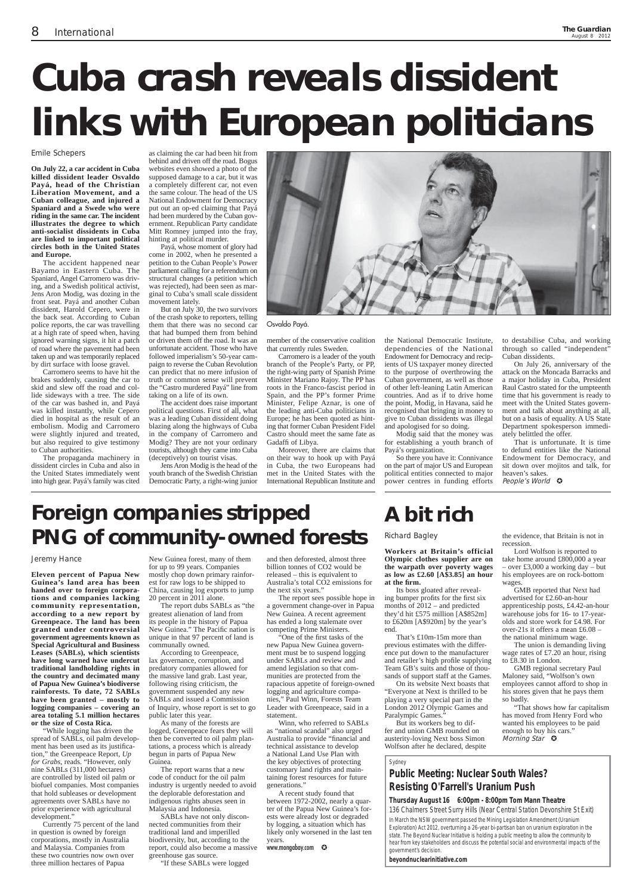### Emile Schepers

**On July 22, a car accident in Cuba killed dissident leader Osvaldo Payá, head of the Christian Liberation Movement, and a Cuban colleague, and injured a Spaniard and a Swede who were riding in the same car. The incident illustrates the degree to which anti-socialist dissidents in Cuba are linked to important political circles both in the United States and Europe.**

The accident happened near Bayamo in Eastern Cuba. The Spaniard, Angel Carromero was driving, and a Swedish political activist, Jens Aron Modig, was dozing in the front seat. Payá and another Cuban dissident, Harold Cepero, were in the back seat. According to Cuban police reports, the car was travelling at a high rate of speed when, having ignored warning signs, it hit a patch of road where the pavement had been taken up and was temporarily replaced by dirt surface with loose gravel.

Carromero seems to have hit the brakes suddenly, causing the car to skid and slew off the road and collide sideways with a tree. The side of the car was bashed in, and Payá was killed instantly, while Cepero died in hospital as the result of an embolism. Modig and Carromero were slightly injured and treated, but also required to give testimony to Cuban authorities.

The propaganda machinery in dissident circles in Cuba and also in the United States immediately went into high gear. Payá's family was cited as claiming the car had been hit from behind and driven off the road. Bogus websites even showed a photo of the supposed damage to a car, but it was a completely different car, not even the same colour. The head of the US National Endowment for Democracy put out an op-ed claiming that Payá had been murdered by the Cuban government. Republican Party candidate Mitt Romney jumped into the fray, hinting at political murder.

Payá, whose moment of glory had come in 2002, when he presented a petition to the Cuban People's Power parliament calling for a referendum on structural changes (a petition which was rejected), had been seen as marginal to Cuba's small scale dissident movement lately.

> That is unfortunate. It is time to defund entities like the National Endowment for Democracy, and sit down over mojitos and talk, for heaven's sakes. People's World  $\circledcirc$

But on July 30, the two survivors of the crash spoke to reporters, telling them that there was no second car that had bumped them from behind or driven them off the road. It was an unfortunate accident. Those who have followed imperialism's 50-year campaign to reverse the Cuban Revolution can predict that no mere infusion of truth or common sense will prevent the "Castro murdered Payá" line from taking on a life of its own.

The accident does raise important political questions. First of all, what was a leading Cuban dissident doing blazing along the highways of Cuba in the company of Carromero and Modig? They are not your ordinary tourists, although they came into Cuba (deceptively) on tourist visas.

Jens Aron Modig is the head of the youth branch of the Swedish Christian Democratic Party, a right-wing junior



member of the conservative coalition that currently rules Sweden.

Carromero is a leader of the youth branch of the People's Party, or PP, the right-wing party of Spanish Prime Minister Mariano Rajoy. The PP has roots in the Franco-fascist period in Spain, and the PP's former Prime Minister, Felipe Aznar, is one of the leading anti-Cuba politicians in Europe; he has been quoted as hinting that former Cuban President Fidel Castro should meet the same fate as Gadaffi of Libya.

Moreover, there are claims that on their way to hook up with Payá in Cuba, the two Europeans had met in the United States with the International Republican Institute and

the National Democratic Institute, dependencies of the National Endowment for Democracy and recipients of US taxpayer money directed to the purpose of overthrowing the Cuban government, as well as those of other left-leaning Latin American countries. And as if to drive home the point, Modig, in Havana, said he recognised that bringing in money to give to Cuban dissidents was illegal and apologised for so doing.

Modig said that the money was for establishing a youth branch of Payá's organization.

So there you have it: Connivance on the part of major US and European political entities connected to major power centres in funding efforts

'One of the first tasks of the new Papua New Guinea government must be to suspend logging under SABLs and review and amend legislation so that communities are protected from the rapacious appetite of foreign-owned logging and agriculture companies," Paul Winn, Forests Team Leader with Greenpeace, said in a statement. Winn, who referred to SABLs as "national scandal" also urged Australia to provide "financial and technical assistance to develop a National Land Use Plan with the key objectives of protecting customary land rights and maintaining forest resources for future generations." A recent study found that between 1972-2002, nearly a quarter of the Papua New Guinea's forests were already lost or degraded by logging, a situation which has likely only worsened in the last ten years. www.mongabay.com

to destabilise Cuba, and working through so called "independent" Cuban dissidents.

On July 26, anniversary of the attack on the Moncada Barracks and a major holiday in Cuba, President Raul Castro stated for the umpteenth time that his government is ready to meet with the United States government and talk about anything at all, but on a basis of equality. A US State Department spokesperson immediately belittled the offer.

On its website Next boasts that "Everyone at Next is thrilled to be playing a very special part in the London 2012 Olympic Games and Paralympic Games."

Lord Wolfson is reported to take home around £800,000 a year – over £3,000 a working day – but his employees are on rock-bottom wages

# **Cuba crash reveals dissident links with European politicians**

### Osvaldo Payá.

# **Foreign companies stripped PNG of community-owned forests**

# **A bit rich**

Jeremy Hance

"That shows how far capitalism has moved from Henry Ford who wanted his employees to be paid enough to buy his cars." Morning Star  $\circledcirc$ 

**Eleven percent of Papua New Guinea's land area has been handed over to foreign corporations and companies lacking community representation, according to a new report by Greenpeace. The land has been granted under controversial government agreements known as Special Agricultural and Business Leases (SABLs), which scientists have long warned have undercut traditional landholding rights in the country and decimated many of Papua New Guinea's biodiverse rainforests. To date, 72 SABLs have been granted – mostly to logging companies – covering an area totaling 5.1 million hectares or the size of Costa Rica.** "While logging has driven the spread of SABLs, oil palm development has been used as its justification," the Greenpeace Report, *Up for Grabs*, reads. "However, only nine SABLs (311,000 hectares) are controlled by listed oil palm or biofuel companies. Most companies that hold subleases or development agreements over SABLs have no prior experience with agricultural development."

Currently 75 percent of the land in question is owned by foreign corporations, mostly in Australia and Malaysia. Companies from these two countries now own over three million hectares of Papua

New Guinea forest, many of them for up to 99 years. Companies mostly chop down primary rainforest for raw logs to be shipped to China, causing log exports to jump 20 percent in 2011 alone.

The report dubs SABLs as "the greatest alienation of land from its people in the history of Papua New Guinea." The Pacific nation is unique in that 97 percent of land is communally owned.

According to Greenpeace, lax governance, corruption, and predatory companies allowed for the massive land grab. Last year, following rising criticism, the government suspended any new SABLs and issued a Commission of Inquiry, whose report is set to go public later this year.

As many of the forests are logged, Greenpeace fears they will then be converted to oil palm plantations, a process which is already begun in parts of Papua New Guinea.

The report warns that a new code of conduct for the oil palm industry is urgently needed to avoid the deplorable deforestation and indigenous rights abuses seen in Malaysia and Indonesia.

SABLs have not only disconnected communities from their traditional land and imperilled biodiversity, but, according to the report, could also become a massive greenhouse gas source.

"If these SABLs were logged

and then deforested, almost three billion tonnes of CO2 would be released – this is equivalent to Australia's total CO2 emissions for the next six years."

The report sees possible hope in a government change-over in Papua New Guinea. A recent agreement has ended a long stalemate over competing Prime Ministers.

### Richard Bagley

**Workers at Britain's official Olympic clothes supplier are on the warpath over poverty wages as low as £2.60 [A\$3.85] an hour at the fi rm.**

Its boss gloated after revealing bumper profits for the first six months of 2012 – and predicted they'd hit £575 million [A\$852m] to £620m [A\$920m] by the year's end.

That's £10m-15m more than previous estimates with the difference put down to the manufacturer and retailer's high profile supplying Team GB's suits and those of thousands of support staff at the Games.

But its workers beg to differ and union GMB rounded on austerity-loving Next boss Simon Wolfson after he declared, despite

the evidence, that Britain is not in recession.

GMB reported that Next had advertised for £2.60-an-hour apprenticeship posts, £4.42-an-hour warehouse jobs for 16- to 17-yearolds and store work for £4.98. For over-21s it offers a mean £6.08 – the national minimum wage.

The union is demanding living wage rates of £7.20 an hour, rising to £8.30 in London.

GMB regional secretary Paul Maloney said, "Wolfson's own employees cannot afford to shop in his stores given that he pays them so badly.

### Sydney

# **Public Meeting: Nuclear South Wales? Resisting O'Farrell's Uranium Push**

**Thursday August 16 6:00pm - 8:00pm Tom Mann Theatre** 136 Chalmers Street Surry Hills (Near Central Station Devonshire St Exit)

In March the NSW government passed the Mining Legislation Amendment (Uranium Exploration) Act 2012, overturning a 26-year bi-partisan ban on uranium exploration in the state. The Beyond Nuclear Initiative is holding a public meeting to allow the community to hear from key stakeholders and discuss the potential social and environmental impacts of the government's decision.

#### **beyondnuclearinitiative.com**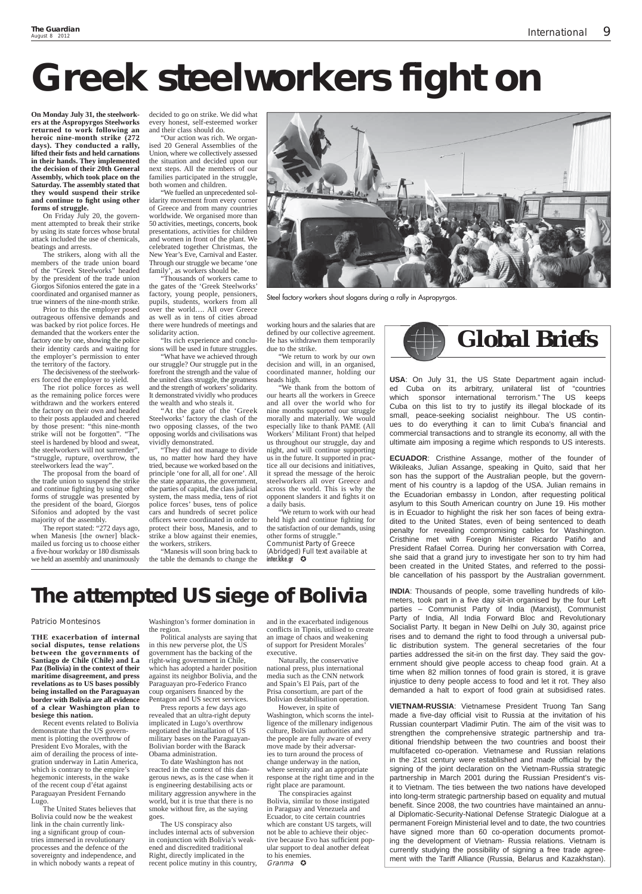**On Monday July 31, the steelworkers at the Aspropyrgos Steelworks returned to work following an heroic nine-month strike (272 days). They conducted a rally, lifted their fi sts and held carnations in their hands. They implemented the decision of their 20th General Assembly, which took place on the Saturday. The assembly stated that they would suspend their strike**  and continue to fight using other **forms of struggle.**

On Friday July 20, the government attempted to break their strike by using its state forces whose brutal attack included the use of chemicals, beatings and arrests.

The strikers, along with all the members of the trade union board of the "Greek Steelworks" headed by the president of the trade union Giorgos Sifonios entered the gate in a coordinated and organised manner as true winners of the nine-month strike.

Prior to this the employer posed outrageous offensive demands and was backed by riot police forces. He demanded that the workers enter the factory one by one, showing the police their identity cards and waiting for the employer's permission to enter the territory of the factory.

The decisiveness of the steelworkers forced the employer to yield.

We fuelled an unprecedented solidarity movement from every corner of Greece and from many countries worldwide. We organised more than 50 activities, meetings, concerts, book presentations, activities for children and women in front of the plant. We celebrated together Christmas, the New Year's Eve, Carnival and Easter. Through our struggle we became 'one family', as workers should be.

The riot police forces as well as the remaining police forces were withdrawn and the workers entered the factory on their own and headed to their posts applauded and cheered by those present: "this nine-month strike will not be forgotten". "The steel is hardened by blood and sweat, the steelworkers will not surrender", "struggle, rupture, overthrow, the steelworkers lead the way".

The proposal from the board of the trade union to suspend the strike and continue fighting by using other forms of struggle was presented by the president of the board, Giorgos Sifonios and adopted by the vast majority of the assembly.

The report stated: "272 days ago, when Manesis [the owner] blackmailed us forcing us to choose either a five-hour workday or 180 dismissals we held an assembly and unanimously

decided to go on strike. We did what every honest, self-esteemed worker and their class should do.

"Our action was rich. We organised 20 General Assemblies of the Union, where we collectively assessed the situation and decided upon our next steps. All the members of our families participated in the struggle, both women and children.

"Thousands of workers came to the gates of the 'Greek Steelworks' factory, young people, pensioners, pupils, students, workers from all over the world…. All over Greece as well as in tens of cities abroad there were hundreds of meetings and solidarity action.

"Its rich experience and conclusions will be used in future struggles.

"What have we achieved through our struggle? Our struggle put in the forefront the strength and the value of the united class struggle, the greatness and the strength of workers' solidarity. It demonstrated vividly who produces the wealth and who steals it.

"At the gate of the 'Greek Steelworks' factory the clash of the two opposing classes, of the two opposing worlds and civilisations was vividly demonstrated.

"They did not manage to divide us, no matter how hard they have tried, because we worked based on the principle 'one for all, all for one'. All the state apparatus, the government, the parties of capital, the class judicial system, the mass media, tens of riot police forces' buses, tens of police cars and hundreds of secret police officers were coordinated in order to protect their boss, Manesis, and to strike a blow against their enemies, the workers, strikers.

"Manesis will soon bring back to the table the demands to change the working hours and the salaries that are defined by our collective agreement. He has withdrawn them temporarily due to the strike.

"We return to work by our own decision and will, in an organised, coordinated manner, holding our heads high.

"We thank from the bottom of our hearts all the workers in Greece and all over the world who for nine months supported our struggle morally and materially. We would especially like to thank PAME (All Workers' Militant Front) that helped us throughout our struggle, day and night, and will continue supporting us in the future. It supported in practice all our decisions and initiatives, it spread the message of the heroic steelworkers all over Greece and across the world. This is why the opponent slanders it and fights it on a daily basis.

"We return to work with our head held high and continue fighting for the satisfaction of our demands, using other forms of struggle." Communist Party of Greece (Abridged) Full text available at

inter.kke.gr

# **Greek steelworkers fight on**

Naturally, the conservative national press, plus international media such as the CNN network and Spain's El País, part of the Prisa consortium, are part of the Bolivian destabilisation operation. However, in spite of Washington, which scorns the intelligence of the millenary indigenous culture, Bolivian authorities and the people are fully aware of every move made by their adversaries to turn around the process of change underway in the nation, where serenity and an appropriate response at the right time and in the right place are paramount. The conspiracies against Bolivia, similar to those instigated in Paraguay and Venezuela and Ecuador, to cite certain countries which are constant US targets, will not be able to achieve their objective because Evo has sufficient popular support to deal another defeat to his enemies. Granma **O** 

**USA**: On July 31, the US State Department again included Cuba on its arbitrary, unilateral list of "countries which sponsor international terrorism." The US keeps Cuba on this list to try to justify its illegal blockade of its small, peace-seeking socialist neighbour. The US continues to do everything it can to limit Cuba's financial and commercial transactions and to strangle its economy, all with the ultimate aim imposing a regime which responds to US interests.

**ECUADOR**: Cristhine Assange, mother of the founder of Wikileaks, Julian Assange, speaking in Quito, said that her son has the support of the Australian people, but the government of his country is a lapdog of the USA. Julian remains in the Ecuadorian embassy in London, after requesting political asylum to this South American country on June 19. His mother is in Ecuador to highlight the risk her son faces of being extradited to the United States, even of being sentenced to death penalty for revealing compromising cables for Washington. Cristhine met with Foreign Minister Ricardo Patiño and President Rafael Correa. During her conversation with Correa, she said that a grand jury to investigate her son to try him had been created in the United States, and referred to the possible cancellation of his passport by the Australian government.

**INDIA**: Thousands of people, some travelling hundreds of kilometers, took part in a five day sit-in organised by the four Left parties – Communist Party of India (Marxist), Communist Party of India, All India Forward Bloc and Revolutionary Socialist Party. It began in New Delhi on July 30, against price rises and to demand the right to food through a universal public distribution system. The general secretaries of the four parties addressed the sit-in on the first day. They said the government should give people access to cheap food grain. At a time when 82 million tonnes of food grain is stored, it is grave injustice to deny people access to food and let it rot. They also demanded a halt to export of food grain at subsidised rates.

**VIETNAM-RUSSIA**: Vietnamese President Truong Tan Sang made a five-day official visit to Russia at the invitation of his Russian counterpart Vladimir Putin. The aim of the visit was to strengthen the comprehensive strategic partnership and traditional friendship between the two countries and boost their multifaceted co-operation. Vietnamese and Russian relations in the 21st century were established and made official by the signing of the joint declaration on the Vietnam-Russia strategic partnership in March 2001 during the Russian President's visit to Vietnam. The ties between the two nations have developed into long-term strategic partnership based on equality and mutual benefit. Since 2008, the two countries have maintained an annual Diplomatic-Security-National Defense Strategic Dialogue at a permanent Foreign Ministerial level and to date, the two countries have signed more than 60 co-operation documents promoting the development of Vietnam- Russia relations. Vietnam is currently studying the possibility of signing a free trade agreement with the Tariff Alliance (Russia, Belarus and Kazakhstan).



Steel factory workers shout slogans during a rally in Aspropyrgos.

# **The attempted US siege of Bolivia**

### Patricio Montesinos

**THE exacerbation of internal social disputes, tense relations between the governments of Santiago de Chile (Chile) and La Paz (Bolivia) in the context of their maritime disagreement, and press revelations as to US bases possibly being installed on the Paraguayan border with Bolivia are all evidence** 

**of a clear Washington plan to besiege this nation.**

Recent events related to Bolivia demonstrate that the US government is plotting the overthrow of President Evo Morales, with the aim of derailing the process of integration underway in Latin America, which is contrary to the empire's hegemonic interests, in the wake of the recent coup d'état against Paraguayan President Fernando Lugo.

The United States believes that Bolivia could now be the weakest link in the chain currently linking a significant group of countries immersed in revolutionary processes and the defence of the sovereignty and independence, and in which nobody wants a repeat of

Washington's former domination in the region.

Political analysts are saying that in this new perverse plot, the US government has the backing of the right-wing government in Chile, which has adopted a harder position against its neighbor Bolivia, and the Paraguayan pro-Federico Franco coup organisers financed by the Pentagon and US secret services. Press reports a few days ago revealed that an ultra-right deputy implicated in Lugo's overthrow negotiated the installation of US military bases on the Paraguayan-Bolivian border with the Barack Obama administration. To date Washington has not reacted in the context of this dangerous news, as is the case when it is engineering destabilising acts or military aggression anywhere in the world, but it is true that there is no smoke without fire, as the saying goes.

The US conspiracy also includes internal acts of subversion in conjunction with Bolivia's weakened and discredited traditional Right, directly implicated in the recent police mutiny in this country,

and in the exacerbated indigenous conflicts in Tipnis, utilised to create an image of chaos and weakening of support for President Morales' executive.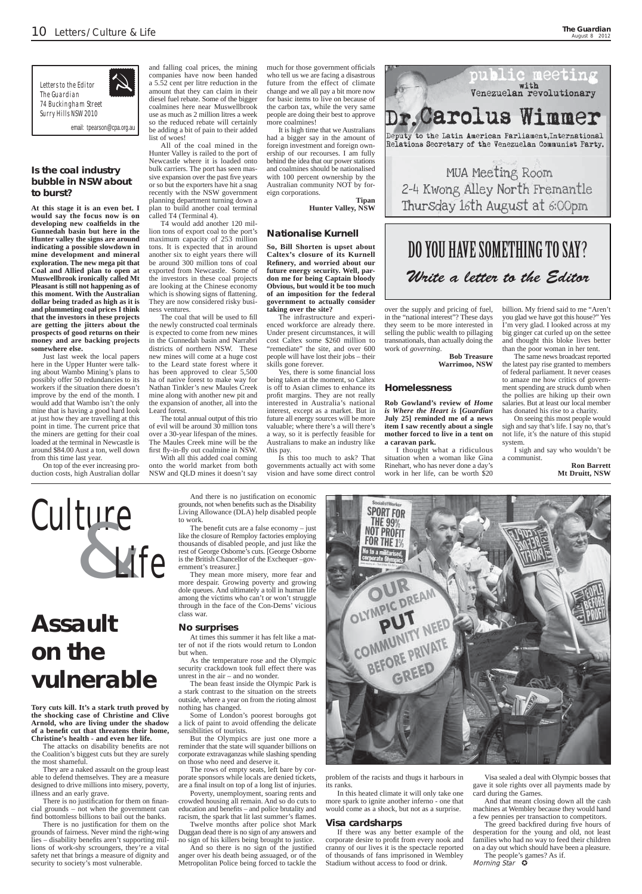# **Assault on the vulnerable**

**Tory cuts kill. It's a stark truth proved by the shocking case of Christine and Clive Arnold, who are living under the shadow**  of a benefit cut that threatens their home, **Christine's health - and even her life.**

The attacks on disability benefits are not the Coalition's biggest cuts but they are surely the most shameful.

They are a naked assault on the group least able to defend themselves. They are a measure designed to drive millions into misery, poverty, illness and an early grave.

There is no justification for them on financial grounds – not when the government can find bottomless billions to bail out the banks.

There is no justification for them on the grounds of fairness. Never mind the right-wing lies – disability benefits aren't supporting millions of work-shy scroungers, they're a vital safety net that brings a measure of dignity and security to society's most vulnerable.

And there is no justification on economic grounds, not when benefits such as the Disability Living Allowance (DLA) help disabled people to work.

The benefit cuts are a false economy - just like the closure of Remploy factories employing thousands of disabled people, and just like the rest of George Osborne's cuts. [George Osborne is the British Chancellor of the Exchequer –government's treasurer.]

The rows of empty seats, left bare by corporate sponsors while locals are denied tickets, are a final insult on top of a long list of injuries.

Poverty, unemployment, soaring rents and crowded housing all remain. And so do cuts to education and benefits – and police brutality and racism, the spark that lit last summer's flames.

They mean more misery, more fear and more despair. Growing poverty and growing dole queues. And ultimately a toll in human life among the victims who can't or won't struggle through in the face of the Con-Dems' vicious class war.

## **No surprises**

At times this summer it has felt like a matter of not if the riots would return to London but when.

As the temperature rose and the Olympic security crackdown took full effect there was unrest in the air – and no wonder.

> The greed backfired during five hours of desperation for the young and old, not least families who had no way to feed their children on a day out which should have been a pleasure.

The people's games? As if. Morning Star  $\ddot{\mathbf{Q}}$ 

The bean feast inside the Olympic Park is a stark contrast to the situation on the streets outside, where a year on from the rioting almost



nothing has changed.

Some of London's poorest boroughs got a lick of paint to avoid offending the delicate sensibilities of tourists.

But the Olympics are just one more a reminder that the state will squander billions on corporate extravaganzas while slashing spending on those who need and deserve it.

Twelve months after police shot Mark Duggan dead there is no sign of any answers and no sign of his killers being brought to justice. And so there is no sign of the justified anger over his death being assuaged, or of the Metropolitan Police being forced to tackle the problem of the racists and thugs it harbours in its ranks.

In this heated climate it will only take one more spark to ignite another inferno - one that would come as a shock, but not as a surprise.

# **Visa cardsharps**

If there was any better example of the corporate desire to profit from every nook and cranny of our lives it is the spectacle reported of thousands of fans imprisoned in Wembley Stadium without access to food or drink.

The coal that will be used to fill the newly constructed coal terminals is expected to come from new mines in the Gunnedah basin and Narrabri districts of northern NSW. These new mines will come at a huge cost to the Leard state forest where it has been approved to clear 5,500 ha of native forest to make way for Nathan Tinkler's new Maules Creek mine along with another new pit and the expansion of another, all into the Leard forest.

> Visa sealed a deal with Olympic bosses that gave it sole rights over all payments made by card during the Games.

> And that meant closing down all the cash machines at Wembley because they would hand a few pennies per transaction to competitors.

much for those government officials who tell us we are facing a disastrous future from the effect of climate change and we all pay a bit more now for basic items to live on because of the carbon tax, while the very same people are doing their best to approve more coalmines!

# **Is the coal industry bubble in NSW about to burst?**

**At this stage it is an even bet. I would say the focus now is on developing new coalfi elds in the Gunnedah basin but here in the Hunter valley the signs are around indicating a possible slowdown in mine development and mineral exploration. The new mega pit that Coal and Allied plan to open at Muswellbrook ironically called Mt Pleasant is still not happening as of this moment. With the Australian dollar being traded as high as it is and plummeting coal prices I think that the investors in these projects are getting the jitters about the prospects of good returns on their money and are backing projects somewhere else.**

> Yes, there is some financial loss being taken at the moment, so Caltex is off to Asian climes to enhance its profit margins. They are not really interested in Australia's national interest, except as a market. But in future all energy sources will be more valuable; where there's a will there's a way, so it is perfectly feasible for Australians to make an industry like this pay.

Just last week the local papers here in the Upper Hunter were talking about Wambo Mining's plans to possibly offer 50 redundancies to its workers if the situation there doesn't improve by the end of the month. I would add that Wambo isn't the only mine that is having a good hard look at just how they are travelling at this point in time. The current price that the miners are getting for their coal loaded at the terminal in Newcastle is around \$84.00 Aust a ton, well down from this time last year.

On top of the ever increasing production costs, high Australian dollar

and falling coal prices, the mining companies have now been handed a 5.52 cent per litre reduction in the amount that they can claim in their diesel fuel rebate. Some of the bigger coalmines here near Muswellbrook use as much as 2 million litres a week so the reduced rebate will certainly be adding a bit of pain to their added list of woes!

All of the coal mined in the Hunter Valley is railed to the port of Newcastle where it is loaded onto bulk carriers. The port has seen massive expansion over the past five years or so but the exporters have hit a snag recently with the NSW government planning department turning down a plan to build another coal terminal called T4 (Terminal 4).

T4 would add another 120 million tons of export coal to the port's maximum capacity of 253 million tons. It is expected that in around another six to eight years there will be around 300 million tons of coal exported from Newcastle. Some of the investors in these coal projects are looking at the Chinese economy which is showing signs of flattening. They are now considered risky business ventures.

The total annual output of this trio of evil will be around  $3\overline{0}$  million tons over a 30-year lifespan of the mines. The Maules Creek mine will be the first fly-in-fly out coalmine in NSW. With all this added coal coming

onto the world market from both NSW and QLD mines it doesn't say

It is high time that we Australians had a bigger say in the amount of foreign investment and foreign ownership of our recourses. I am fully behind the idea that our power stations and coalmines should be nationalised with 100 percent ownership by the Australian community NOT by foreign corporations. **Tipan**

**Hunter Valley, NSW**

## **Nationalise Kurnell**

**So, Bill Shorten is upset about Caltex's closure of its Kurnell Refi nery, and worried about our future energy security. Well, pardon me for being Captain bloody Obvious, but would it be too much of an imposition for the federal government to actually consider taking over the site?**

The infrastructure and experienced workforce are already there. Under present circumstances, it will cost Caltex some \$260 million to "remediate" the site, and over 600 people will have lost their jobs – their skills gone forever.

Is this too much to ask? That governments actually act with some vision and have some direct control



over the supply and pricing of fuel, in the "national interest"? These days they seem to be more interested in selling the public wealth to pillaging transnationals, than actually doing the work of *governing*.

**Bob Treasure Warrimoo, NSW**

## **Homelessness**

**Rob Gowland's review of** *Home is Where the Heart is* **[***Guardian* **July 25] reminded me of a news item I saw recently about a single mother forced to live in a tent on a caravan park.**

I thought what a ridiculous situation when a woman like Gina Rinehart, who has never done a day's work in her life, can be worth \$20

billion. My friend said to me "Aren't you glad we have got this house?" Yes I'm very glad. I looked across at my big ginger cat curled up on the settee and thought this bloke lives better than the poor woman in her tent.

The same news broadcast reported the latest pay rise granted to members of federal parliament. It never ceases to amaze me how critics of government spending are struck dumb when the pollies are hiking up their own salaries. But at least our local member has donated his rise to a charity.

On seeing this most people would sigh and say that's life. I say no, that's not life, it's the nature of this stupid system.

I sigh and say who wouldn't be a communist.

**Ron Barrett Mt Druitt, NSW**



*The Guardian 74 Buckingham Street Surry Hills NSW 2010*

email: tpearson@cpa.org.au



# DO YOU HAVE SOMETHING TO SAY? Write a letter to the Editor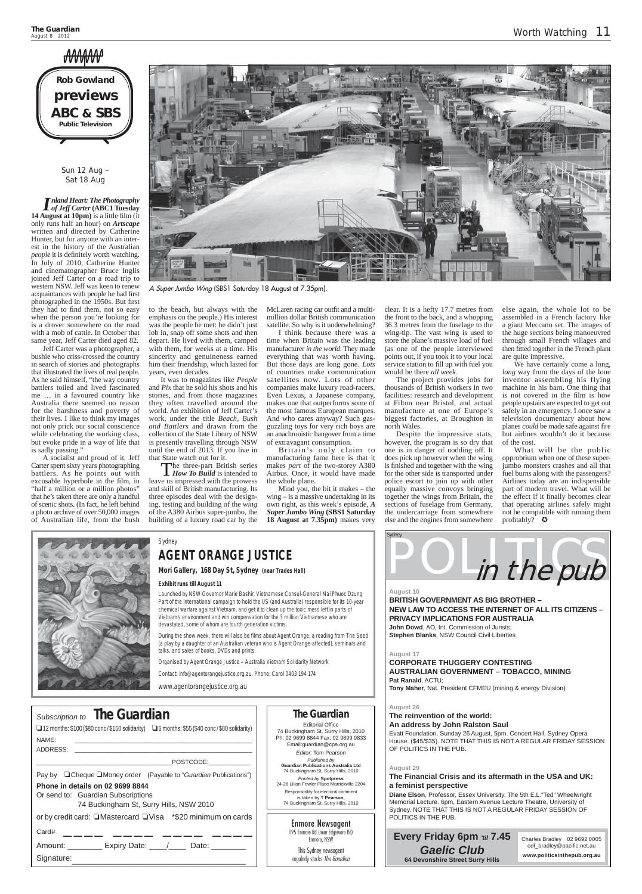# MMM

# *The Guardian* **Editorial Office**

Responsibility for electoral comment is taken by **T Pearson,** 74 Buckingham St, Surry Hills, 2010

74 Buckingham St, Surry Hills, 2010 Ph: 02 9699 8844 Fax: 02 9699 9833 Email:guardian@cpa.org.au *Editor:* Tom Pearson *Published by* **Guardian Publications Australia Ltd** 74 Buckingham St, Surry Hills, 2010

*Printed by* **Spotpress** 24-26 Lilian Fowler Place Marrickville 2204

| Subscription to <b>The Guardian</b><br>$\Box$ 12 months: \$100 (\$80 conc / \$150 solidarity) $\Box$ 6 months: \$55 (\$40 conc / \$80 solidarity) |
|---------------------------------------------------------------------------------------------------------------------------------------------------|
| NAMF:                                                                                                                                             |
| ADDRESS:<br>POSTCODE:                                                                                                                             |
| Pay by □ Cheque ■ Money order (Payable to "Guardian Publications")                                                                                |
| Phone in details on 02 9699 8844<br>Or send to: Guardian Subscriptions<br>74 Buckingham St, Surry Hills, NSW 2010                                 |
| or by credit card: □Mastercard □Visa *\$20 minimum on cards                                                                                       |
| Card# $\_\_\_\_\_\_\_\_\_\_\$ .                                                                                                                   |
| Amount: Expiry Date: / Date:                                                                                                                      |
| Signature:                                                                                                                                        |

Jeff Carter was a photographer, a bushie who criss-crossed the country in search of stories and photographs that illustrated the lives of real people. As he said himself, "the way country battlers toiled and lived fascinated me … in a favoured country like Australia there seemed no reason for the harshness and poverty of their lives. I like to think my images not only prick our social conscience while celebrating the working class, but evoke pride in a way of life that is sadly passing."

Sun 12 Aug – Sat 18 Aug

*Inland Heart: The Photography of Jeff Carter* **(ABC1 Tuesday 14 August at 10pm)** is a little film (it only runs half an hour) on *Artscape* written and directed by Catherine Hunter, but for anyone with an interest in the history of the Australian *people* it is definitely worth watching. In July of 2010, Catherine Hunter and cinematographer Bruce Inglis joined Jeff Carter on a road trip to western NSW. Jeff was keen to renew acquaintances with people he had first photographed in the 1950s. But first they had to find them, not so easy when the person you're looking for is a drover somewhere on the road with a mob of cattle. In October that same year, Jeff Carter died aged 82.

McLaren racing car outfit and a multimillion dollar British communication satellite. So why is it underwhelming?

A socialist and proud of it, Jeff Carter spent sixty years photographing battlers. As he points out with excusable hyperbole in the film, in "half a million or a million photos" that he's taken there are only a handful of scenic shots. (In fact, he left behind a photo archive of over 50,000 images of Australian life, from the bush



to the beach, but always with the emphasis on the people.) His interest was the people he met: he didn't just lob in, snap off some shots and then depart. He lived with them, camped with them, for weeks at a time. His sincerity and genuineness earned him their friendship, which lasted for years, even decades.

> What will be the public opprobrium when one of these superjumbo monsters crashes and all that fuel burns along with the passengers? Airlines today are an indispensible part of modern travel. What will be the effect if it finally becomes clear that operating airlines safely might not be compatible with running them profitably?  $\bullet$



It was to magazines like *People* and *Pix* that he sold his shots and his stories, and from those magazines they often travelled around the world. An exhibition of Jeff Carter's work, under the title *Beach, Bush and Battlers* and drawn from the collection of the State Library of NSW is presently travelling through NSW until the end of 2013. If you live in that State watch out for it.

Charles Bradley 02 9692 0005 odl\_bradley@pacific.net.au

The three-part British series *How To Build* is intended to leave us impressed with the prowess and skill of British manufacturing. Its three episodes deal with the designing, testing and building of the *wing* of the A380 Airbus super-jumbo, the building of a luxury road car by the

I think because there was a time when Britain was the leading manufacturer *in the world*. They made everything that was worth having. But those days are long gone. *Lots* of countries make communication satellites now. Lots of other companies make luxury road-racers. Even Lexus, a Japanese company, makes one that outperforms some of the most famous European marques. And who cares anyway? Such gasguzzling toys for very rich boys are an anachronistic hangover from a time of extravagant consumption.

Britain's only claim to manufacturing fame here is that it makes *part* of the two-storey A380 Airbus. Once, it would have made the whole plane.

Mind you, the bit it makes – the wing – is a massive undertaking in its own right, as this week's episode, *A Super Jumbo Wing* **(SBS1 Saturday 18 August at 7.35pm)** makes very

clear. It is a hefty 17.7 metres from the front to the back, and a whopping 36.3 metres from the fuselage to the wing-tip. The vast wing is used to store the plane's massive load of fuel (as one of the people interviewed points out, if you took it to your local service station to fill up with fuel you would be there *all week.*

The project provides jobs for thousands of British workers in two facilities: research and development at Filton near Bristol, and actual manufacture at one of Europe's biggest factories, at Broughton in north Wales.

Despite the impressive stats, however, the program is so dry that one is in danger of nodding off. It does pick up however when the wing is finished and together with the wing for the other side is transported under police escort to join up with other equally massive convoys bringing together the wings from Britain, the sections of fuselage from Germany, the undercarriage from somewhere else and the engines from somewhere else again, the whole lot to be assembled in a French factory like a giant Meccano set. The images of the huge sections being manoeuvred through small French villages and then fitted together in the French plant are quite impressive.

We have certainly come a long, *long* way from the days of the lone inventor assembling his flying machine in his barn. One thing that is not covered in the film is how people upstairs are expected to get out safely in an emergency. I once saw a television documentary about how planes *could* be made safe against fire but airlines wouldn't do it because of the cost.



Enmore Newsagent 195 Enmore Rd (near Edgeware Rd) Enmore, NSW

This Sydney newsagent regularly stocks The Guardian

# **Every Friday 6pm '***til* **7.45** *Gaelic Club* **64 Devonshire Street Surry Hills**

**www.politicsinthepub.org.au**

**August 10 BRITISH GOVERNMENT AS BIG BROTHER – NEW LAW TO ACCESS THE INTERNET OF ALL ITS CITIZENS – PRIVACY IMPLICATIONS FOR AUSTRALIA John Dowd**, AO, Int. Commission of Jurists; **Stephen Blanks**, NSW Council Civil Liberties

#### **August 17**

**CORPORATE THUGGERY CONTESTING AUSTRALIAN GOVERNMENT – TOBACCO, MINING Pat Ranald**, ACTU; **Tony Maher**, Nat. President CFMEU (mining & energy Division)

#### **August 26**

## **The reinvention of the world: An address by John Ralston Saul**

Evatt Foundation. Sunday 26 August, 5pm. Concert Hall, Sydney Opera House. (\$45/\$35). NOTE THAT THIS IS NOT A REGULAR FRIDAY SESSION OF POLITICS IN THE PUB.

## **August 29**

**The Financial Crisis and its aftermath in the USA and UK: a feminist perspective**

**Diane Elson**, Professor, Essex University. The 5th E.L."Ted" Wheelwright Memorial Lecture. 6pm, Eastern Avenue Lecture Theatre, University of Sydney. NOTE THAT THIS IS NOT A REGULAR FRIDAY SESSION OF POLITICS IN THE PUB.



A Super Jumbo Wing (SBS1 Saturday 18 August at 7.35pm).

# Sydney **AGENT ORANGE JUSTICE**

**Mori Gallery, 168 Day St, Sydney (near Trades Hall)**

### **Exhibit runs till August 11**

Launched by NSW Governor Marie Bashir, Vietnamese Consul-General Mai Phuoc Dzung Part of the international campaign to hold the US (and Australia) responsible for its 10-year chemical warfare against Vietnam, and get it to clean up the toxic mess left in parts of Vietnam's environment and win compensation for the 3 million Vietnamese who are devastated, some of whom are fourth generation victims.

During the show week, there will also be films about Agent Orange, a reading from The Seed (a play by a daughter of an Australian veteran who is Agent Orange-affected), seminars and talks, and sales of books, DVDs and prints.

Organised by Agent Orange Justice – Australia Vietnam Solidarity Network

Contact: info@agentorangejustice.org.au. Phone: Carol 0403 194 174

www.agentorangejustice.org.au